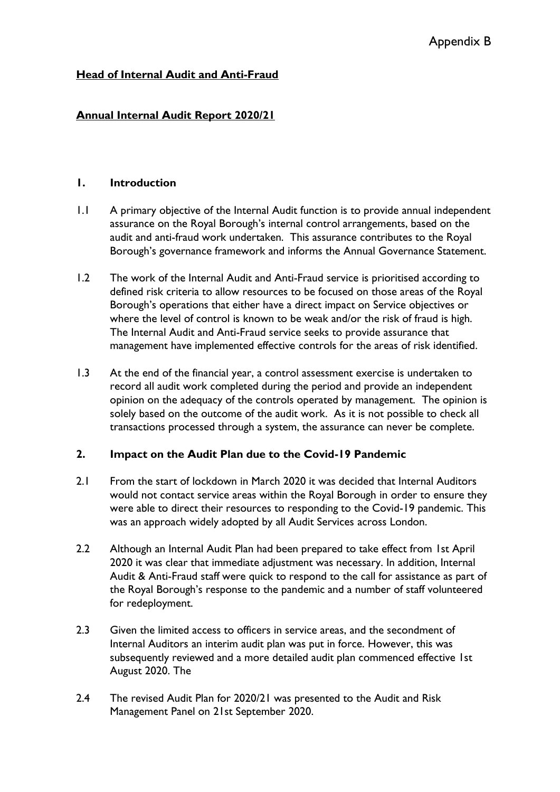# **Head of Internal Audit and Anti-Fraud**

## **Annual Internal Audit Report 2020/21**

#### **1. Introduction**

- 1.1 A primary objective of the Internal Audit function is to provide annual independent assurance on the Royal Borough's internal control arrangements, based on the audit and anti-fraud work undertaken. This assurance contributes to the Royal Borough's governance framework and informs the Annual Governance Statement.
- 1.2 The work of the Internal Audit and Anti-Fraud service is prioritised according to defined risk criteria to allow resources to be focused on those areas of the Royal Borough's operations that either have a direct impact on Service objectives or where the level of control is known to be weak and/or the risk of fraud is high. The Internal Audit and Anti-Fraud service seeks to provide assurance that management have implemented effective controls for the areas of risk identified.
- 1.3 At the end of the financial year, a control assessment exercise is undertaken to record all audit work completed during the period and provide an independent opinion on the adequacy of the controls operated by management. The opinion is solely based on the outcome of the audit work. As it is not possible to check all transactions processed through a system, the assurance can never be complete.

### **2. Impact on the Audit Plan due to the Covid-19 Pandemic**

- 2.1 From the start of lockdown in March 2020 it was decided that Internal Auditors would not contact service areas within the Royal Borough in order to ensure they were able to direct their resources to responding to the Covid-19 pandemic. This was an approach widely adopted by all Audit Services across London.
- 2.2 Although an Internal Audit Plan had been prepared to take effect from 1st April 2020 it was clear that immediate adjustment was necessary. In addition, Internal Audit & Anti-Fraud staff were quick to respond to the call for assistance as part of the Royal Borough's response to the pandemic and a number of staff volunteered for redeployment.
- 2.3 Given the limited access to officers in service areas, and the secondment of Internal Auditors an interim audit plan was put in force. However, this was subsequently reviewed and a more detailed audit plan commenced effective 1st August 2020. The
- 2.4 The revised Audit Plan for 2020/21 was presented to the Audit and Risk Management Panel on 21st September 2020.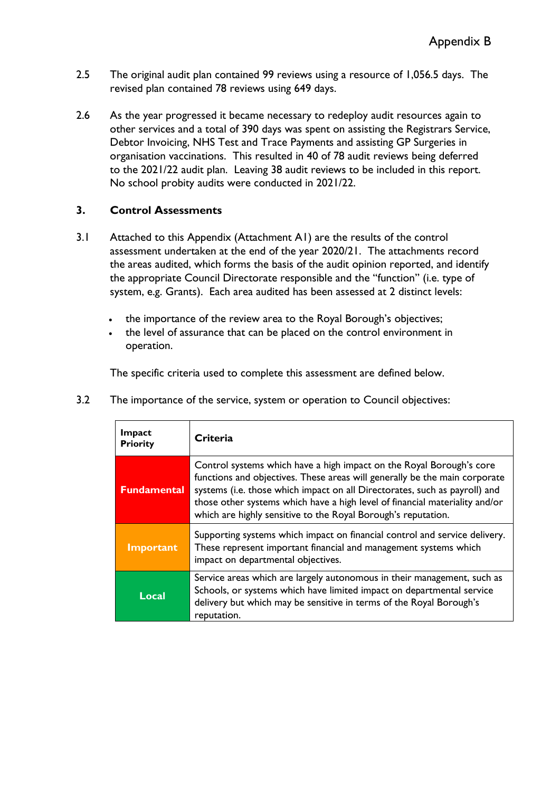- 2.5 The original audit plan contained 99 reviews using a resource of 1,056.5 days. The revised plan contained 78 reviews using 649 days.
- 2.6 As the year progressed it became necessary to redeploy audit resources again to other services and a total of 390 days was spent on assisting the Registrars Service, Debtor Invoicing, NHS Test and Trace Payments and assisting GP Surgeries in organisation vaccinations. This resulted in 40 of 78 audit reviews being deferred to the 2021/22 audit plan. Leaving 38 audit reviews to be included in this report. No school probity audits were conducted in 2021/22.

### **3. Control Assessments**

- 3.1 Attached to this Appendix (Attachment A1) are the results of the control assessment undertaken at the end of the year 2020/21. The attachments record the areas audited, which forms the basis of the audit opinion reported, and identify the appropriate Council Directorate responsible and the "function" (i.e. type of system, e.g. Grants). Each area audited has been assessed at 2 distinct levels:
	- the importance of the review area to the Royal Borough's objectives;
	- the level of assurance that can be placed on the control environment in operation.

The specific criteria used to complete this assessment are defined below.

| Impact<br><b>Priority</b> | Criteria                                                                                                                                                                                                                                                                                                                                                                         |
|---------------------------|----------------------------------------------------------------------------------------------------------------------------------------------------------------------------------------------------------------------------------------------------------------------------------------------------------------------------------------------------------------------------------|
| <b>Fundamental</b>        | Control systems which have a high impact on the Royal Borough's core<br>functions and objectives. These areas will generally be the main corporate<br>systems (i.e. those which impact on all Directorates, such as payroll) and<br>those other systems which have a high level of financial materiality and/or<br>which are highly sensitive to the Royal Borough's reputation. |
| Important                 | Supporting systems which impact on financial control and service delivery.<br>These represent important financial and management systems which<br>impact on departmental objectives.                                                                                                                                                                                             |
| Local                     | Service areas which are largely autonomous in their management, such as<br>Schools, or systems which have limited impact on departmental service<br>delivery but which may be sensitive in terms of the Royal Borough's<br>reputation.                                                                                                                                           |

3.2 The importance of the service, system or operation to Council objectives: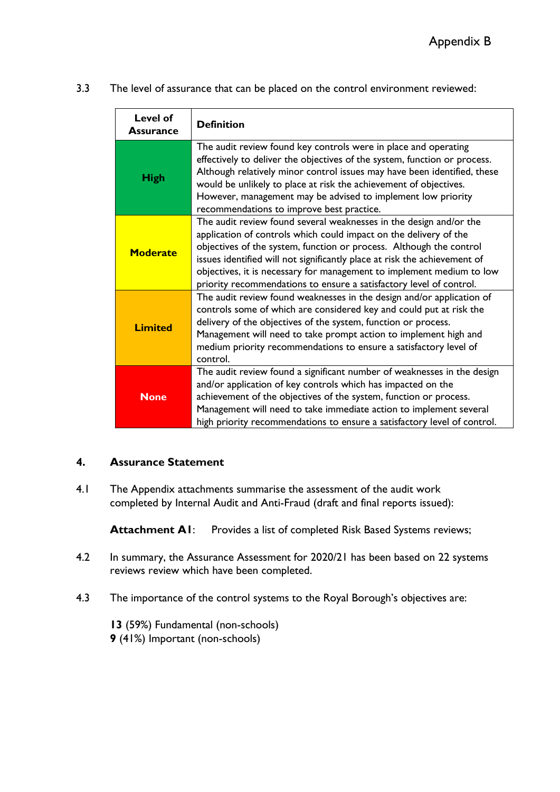3.3 The level of assurance that can be placed on the control environment reviewed:

| Level of<br><b>Assurance</b> | <b>Definition</b>                                                                                                                                                                                                                                                                                                                                                                                                                           |
|------------------------------|---------------------------------------------------------------------------------------------------------------------------------------------------------------------------------------------------------------------------------------------------------------------------------------------------------------------------------------------------------------------------------------------------------------------------------------------|
| <b>High</b>                  | The audit review found key controls were in place and operating<br>effectively to deliver the objectives of the system, function or process.<br>Although relatively minor control issues may have been identified, these<br>would be unlikely to place at risk the achievement of objectives.<br>However, management may be advised to implement low priority<br>recommendations to improve best practice.                                  |
| <b>Moderate</b>              | The audit review found several weaknesses in the design and/or the<br>application of controls which could impact on the delivery of the<br>objectives of the system, function or process. Although the control<br>issues identified will not significantly place at risk the achievement of<br>objectives, it is necessary for management to implement medium to low<br>priority recommendations to ensure a satisfactory level of control. |
| <b>Limited</b>               | The audit review found weaknesses in the design and/or application of<br>controls some of which are considered key and could put at risk the<br>delivery of the objectives of the system, function or process.<br>Management will need to take prompt action to implement high and<br>medium priority recommendations to ensure a satisfactory level of<br>control.                                                                         |
| <b>None</b>                  | The audit review found a significant number of weaknesses in the design<br>and/or application of key controls which has impacted on the<br>achievement of the objectives of the system, function or process.<br>Management will need to take immediate action to implement several<br>high priority recommendations to ensure a satisfactory level of control.                                                                              |

### **4. Assurance Statement**

4.1 The Appendix attachments summarise the assessment of the audit work completed by Internal Audit and Anti-Fraud (draft and final reports issued):

Attachment A1: Provides a list of completed Risk Based Systems reviews;

- 4.2 In summary, the Assurance Assessment for 2020/21 has been based on 22 systems reviews review which have been completed.
- 4.3 The importance of the control systems to the Royal Borough's objectives are:

**13** (59%) Fundamental (non-schools) **9** (41%) Important (non-schools)